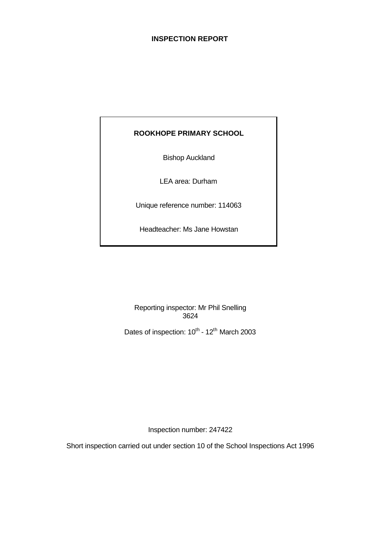#### **INSPECTION REPORT**

## **ROOKHOPE PRIMARY SCHOOL**

Bishop Auckland

LEA area: Durham

Unique reference number: 114063

Headteacher: Ms Jane Howstan

Reporting inspector: Mr Phil Snelling 3624

Dates of inspection: 10<sup>th</sup> - 12<sup>th</sup> March 2003

Inspection number: 247422

Short inspection carried out under section 10 of the School Inspections Act 1996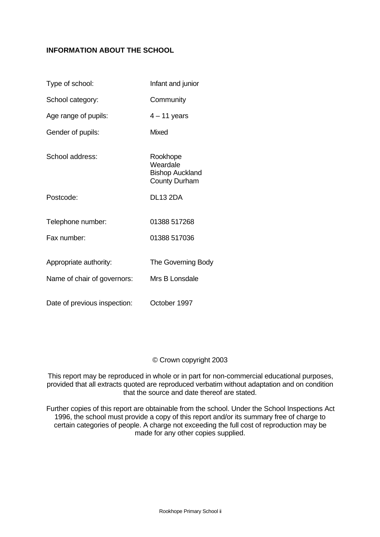### **INFORMATION ABOUT THE SCHOOL**

| Type of school:              | Infant and junior                                                      |
|------------------------------|------------------------------------------------------------------------|
| School category:             | Community                                                              |
| Age range of pupils:         | $4 - 11$ years                                                         |
| Gender of pupils:            | Mixed                                                                  |
| School address:              | Rookhope<br>Weardale<br><b>Bishop Auckland</b><br><b>County Durham</b> |
| Postcode:                    | <b>DL13 2DA</b>                                                        |
| Telephone number:            | 01388 517268                                                           |
| Fax number:                  | 01388 517036                                                           |
| Appropriate authority:       | The Governing Body                                                     |
| Name of chair of governors:  | Mrs B Lonsdale                                                         |
| Date of previous inspection: | October 1997                                                           |

#### © Crown copyright 2003

This report may be reproduced in whole or in part for non-commercial educational purposes, provided that all extracts quoted are reproduced verbatim without adaptation and on condition that the source and date thereof are stated.

Further copies of this report are obtainable from the school. Under the School Inspections Act 1996, the school must provide a copy of this report and/or its summary free of charge to certain categories of people. A charge not exceeding the full cost of reproduction may be made for any other copies supplied.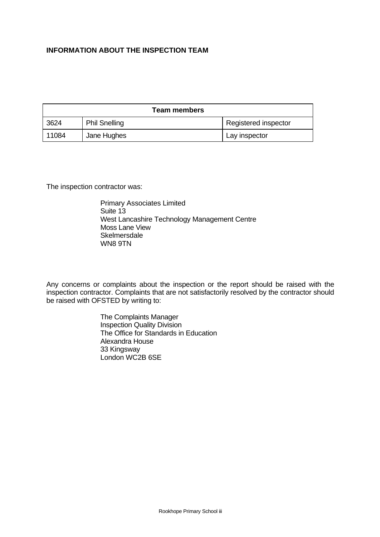### **INFORMATION ABOUT THE INSPECTION TEAM**

| <b>Team members</b> |                      |                      |  |
|---------------------|----------------------|----------------------|--|
| 3624                | <b>Phil Snelling</b> | Registered inspector |  |
| 11084               | Jane Hughes          | Lay inspector        |  |

The inspection contractor was:

Primary Associates Limited Suite 13 West Lancashire Technology Management Centre Moss Lane View **Skelmersdale** WN8 9TN

Any concerns or complaints about the inspection or the report should be raised with the inspection contractor. Complaints that are not satisfactorily resolved by the contractor should be raised with OFSTED by writing to:

> The Complaints Manager Inspection Quality Division The Office for Standards in Education Alexandra House 33 Kingsway London WC2B 6SE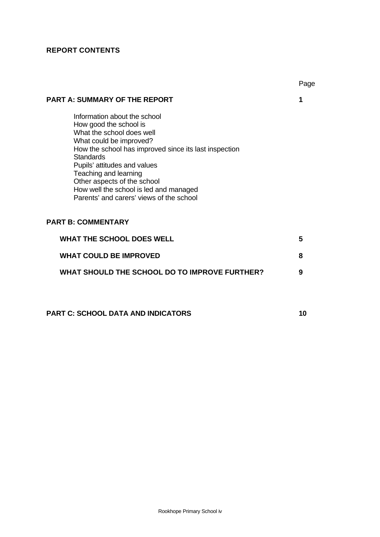# **REPORT CONTENTS**

|                                                                                                                                                                                                                                                                                                                                                                           | Page |
|---------------------------------------------------------------------------------------------------------------------------------------------------------------------------------------------------------------------------------------------------------------------------------------------------------------------------------------------------------------------------|------|
| <b>PART A: SUMMARY OF THE REPORT</b>                                                                                                                                                                                                                                                                                                                                      | 1    |
| Information about the school<br>How good the school is<br>What the school does well<br>What could be improved?<br>How the school has improved since its last inspection<br><b>Standards</b><br>Pupils' attitudes and values<br>Teaching and learning<br>Other aspects of the school<br>How well the school is led and managed<br>Parents' and carers' views of the school |      |
| <b>PART B: COMMENTARY</b>                                                                                                                                                                                                                                                                                                                                                 |      |
| <b>WHAT THE SCHOOL DOES WELL</b>                                                                                                                                                                                                                                                                                                                                          | 5    |
| <b>WHAT COULD BE IMPROVED</b>                                                                                                                                                                                                                                                                                                                                             | 8    |
| WHAT SHOULD THE SCHOOL DO TO IMPROVE FURTHER?                                                                                                                                                                                                                                                                                                                             | 9    |
| <b>PART C: SCHOOL DATA AND INDICATORS</b>                                                                                                                                                                                                                                                                                                                                 | 10   |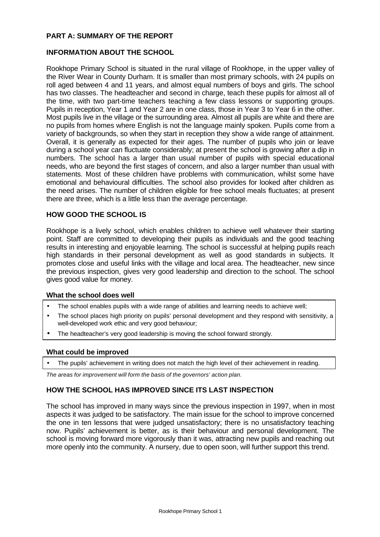#### **PART A: SUMMARY OF THE REPORT**

#### **INFORMATION ABOUT THE SCHOOL**

Rookhope Primary School is situated in the rural village of Rookhope, in the upper valley of the River Wear in County Durham. It is smaller than most primary schools, with 24 pupils on roll aged between 4 and 11 years, and almost equal numbers of boys and girls. The school has two classes. The headteacher and second in charge, teach these pupils for almost all of the time, with two part-time teachers teaching a few class lessons or supporting groups. Pupils in reception, Year 1 and Year 2 are in one class, those in Year 3 to Year 6 in the other. Most pupils live in the village or the surrounding area. Almost all pupils are white and there are no pupils from homes where English is not the language mainly spoken. Pupils come from a variety of backgrounds, so when they start in reception they show a wide range of attainment. Overall, it is generally as expected for their ages. The number of pupils who join or leave during a school year can fluctuate considerably; at present the school is growing after a dip in numbers. The school has a larger than usual number of pupils with special educational needs, who are beyond the first stages of concern, and also a larger number than usual with statements. Most of these children have problems with communication, whilst some have emotional and behavioural difficulties. The school also provides for looked after children as the need arises. The number of children eligible for free school meals fluctuates; at present there are three, which is a little less than the average percentage.

#### **HOW GOOD THE SCHOOL IS**

Rookhope is a lively school, which enables children to achieve well whatever their starting point. Staff are committed to developing their pupils as individuals and the good teaching results in interesting and enjoyable learning. The school is successful at helping pupils reach high standards in their personal development as well as good standards in subjects. It promotes close and useful links with the village and local area. The headteacher, new since the previous inspection, gives very good leadership and direction to the school. The school gives good value for money.

#### **What the school does well**

- The school enables pupils with a wide range of abilities and learning needs to achieve well;
- The school places high priority on pupils' personal development and they respond with sensitivity, a well-developed work ethic and very good behaviour;
- The headteacher's very good leadership is moving the school forward strongly.

#### **What could be improved**

The pupils' achievement in writing does not match the high level of their achievement in reading.

*The areas for improvement will form the basis of the governors' action plan.*

#### **HOW THE SCHOOL HAS IMPROVED SINCE ITS LAST INSPECTION**

The school has improved in many ways since the previous inspection in 1997, when in most aspects it was judged to be satisfactory. The main issue for the school to improve concerned the one in ten lessons that were judged unsatisfactory; there is no unsatisfactory teaching now. Pupils' achievement is better, as is their behaviour and personal development. The school is moving forward more vigorously than it was, attracting new pupils and reaching out more openly into the community. A nursery, due to open soon, will further support this trend.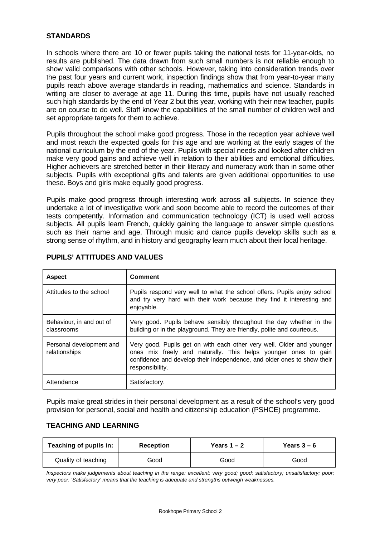#### **STANDARDS**

In schools where there are 10 or fewer pupils taking the national tests for 11-year-olds, no results are published. The data drawn from such small numbers is not reliable enough to show valid comparisons with other schools. However, taking into consideration trends over the past four years and current work, inspection findings show that from year-to-year many pupils reach above average standards in reading, mathematics and science. Standards in writing are closer to average at age 11. During this time, pupils have not usually reached such high standards by the end of Year 2 but this year, working with their new teacher, pupils are on course to do well. Staff know the capabilities of the small number of children well and set appropriate targets for them to achieve.

Pupils throughout the school make good progress. Those in the reception year achieve well and most reach the expected goals for this age and are working at the early stages of the national curriculum by the end of the year. Pupils with special needs and looked after children make very good gains and achieve well in relation to their abilities and emotional difficulties. Higher achievers are stretched better in their literacy and numeracy work than in some other subjects. Pupils with exceptional gifts and talents are given additional opportunities to use these. Boys and girls make equally good progress.

Pupils make good progress through interesting work across all subjects. In science they undertake a lot of investigative work and soon become able to record the outcomes of their tests competently. Information and communication technology (ICT) is used well across subjects. All pupils learn French, quickly gaining the language to answer simple questions such as their name and age. Through music and dance pupils develop skills such as a strong sense of rhythm, and in history and geography learn much about their local heritage.

| <b>Aspect</b>                             | <b>Comment</b>                                                                                                                                                                                                                        |
|-------------------------------------------|---------------------------------------------------------------------------------------------------------------------------------------------------------------------------------------------------------------------------------------|
| Attitudes to the school                   | Pupils respond very well to what the school offers. Pupils enjoy school<br>and try very hard with their work because they find it interesting and<br>enjoyable.                                                                       |
| Behaviour, in and out of<br>classrooms    | Very good. Pupils behave sensibly throughout the day whether in the<br>building or in the playground. They are friendly, polite and courteous.                                                                                        |
| Personal development and<br>relationships | Very good. Pupils get on with each other very well. Older and younger<br>ones mix freely and naturally. This helps younger ones to gain<br>confidence and develop their independence, and older ones to show their<br>responsibility. |
| Attendance                                | Satisfactory.                                                                                                                                                                                                                         |

#### **PUPILS' ATTITUDES AND VALUES**

Pupils make great strides in their personal development as a result of the school's very good provision for personal, social and health and citizenship education (PSHCE) programme.

#### **TEACHING AND LEARNING**

| Teaching of pupils in:      | <b>Reception</b> | Years $1 - 2$ | Years $3-6$ |  |
|-----------------------------|------------------|---------------|-------------|--|
| Quality of teaching<br>Good |                  | Good          | Good        |  |

*Inspectors make judgements about teaching in the range: excellent; very good; good; satisfactory; unsatisfactory; poor; very poor. 'Satisfactory' means that the teaching is adequate and strengths outweigh weaknesses.*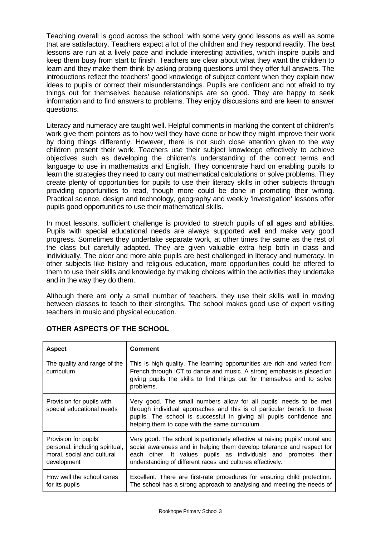Teaching overall is good across the school, with some very good lessons as well as some that are satisfactory. Teachers expect a lot of the children and they respond readily. The best lessons are run at a lively pace and include interesting activities, which inspire pupils and keep them busy from start to finish. Teachers are clear about what they want the children to learn and they make them think by asking probing questions until they offer full answers. The introductions reflect the teachers' good knowledge of subject content when they explain new ideas to pupils or correct their misunderstandings. Pupils are confident and not afraid to try things out for themselves because relationships are so good. They are happy to seek information and to find answers to problems. They enjoy discussions and are keen to answer questions.

Literacy and numeracy are taught well. Helpful comments in marking the content of children's work give them pointers as to how well they have done or how they might improve their work by doing things differently. However, there is not such close attention given to the way children present their work. Teachers use their subject knowledge effectively to achieve objectives such as developing the children's understanding of the correct terms and language to use in mathematics and English. They concentrate hard on enabling pupils to learn the strategies they need to carry out mathematical calculations or solve problems. They create plenty of opportunities for pupils to use their literacy skills in other subjects through providing opportunities to read, though more could be done in promoting their writing. Practical science, design and technology, geography and weekly 'investigation' lessons offer pupils good opportunities to use their mathematical skills.

In most lessons, sufficient challenge is provided to stretch pupils of all ages and abilities. Pupils with special educational needs are always supported well and make very good progress. Sometimes they undertake separate work, at other times the same as the rest of the class but carefully adapted. They are given valuable extra help both in class and individually. The older and more able pupils are best challenged in literacy and numeracy. In other subjects like history and religious education, more opportunities could be offered to them to use their skills and knowledge by making choices within the activities they undertake and in the way they do them.

Although there are only a small number of teachers, they use their skills well in moving between classes to teach to their strengths. The school makes good use of expert visiting teachers in music and physical education.

| <b>Aspect</b>                                                                                        | <b>Comment</b>                                                                                                                                                                                                                                                                         |
|------------------------------------------------------------------------------------------------------|----------------------------------------------------------------------------------------------------------------------------------------------------------------------------------------------------------------------------------------------------------------------------------------|
| The quality and range of the<br>curriculum                                                           | This is high quality. The learning opportunities are rich and varied from<br>French through ICT to dance and music. A strong emphasis is placed on<br>giving pupils the skills to find things out for themselves and to solve<br>problems.                                             |
| Provision for pupils with<br>special educational needs                                               | Very good. The small numbers allow for all pupils' needs to be met<br>through individual approaches and this is of particular benefit to these<br>pupils. The school is successful in giving all pupils confidence and<br>helping them to cope with the same curriculum.               |
| Provision for pupils'<br>personal, including spiritual,<br>moral, social and cultural<br>development | Very good. The school is particularly effective at raising pupils' moral and<br>social awareness and in helping them develop tolerance and respect for<br>each other. It values pupils as individuals and promotes their<br>understanding of different races and cultures effectively. |
| How well the school cares<br>for its pupils                                                          | Excellent. There are first-rate procedures for ensuring child protection.<br>The school has a strong approach to analysing and meeting the needs of                                                                                                                                    |

# **OTHER ASPECTS OF THE SCHOOL**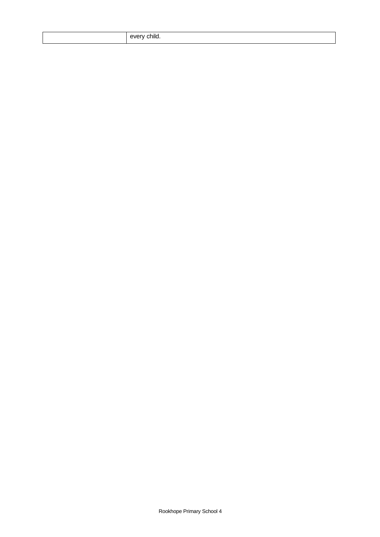|  |  | every child. |
|--|--|--------------|
|--|--|--------------|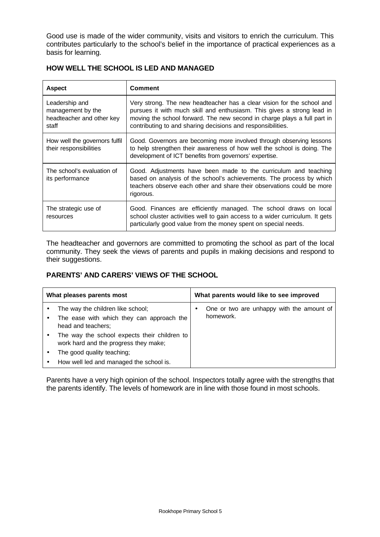Good use is made of the wider community, visits and visitors to enrich the curriculum. This contributes particularly to the school's belief in the importance of practical experiences as a basis for learning.

| <b>Aspect</b>                                                             | <b>Comment</b>                                                                                                                                                                                                                                                                              |
|---------------------------------------------------------------------------|---------------------------------------------------------------------------------------------------------------------------------------------------------------------------------------------------------------------------------------------------------------------------------------------|
| Leadership and<br>management by the<br>headteacher and other key<br>staff | Very strong. The new headteacher has a clear vision for the school and<br>pursues it with much skill and enthusiasm. This gives a strong lead in<br>moving the school forward. The new second in charge plays a full part in<br>contributing to and sharing decisions and responsibilities. |
| How well the governors fulfil<br>their responsibilities                   | Good. Governors are becoming more involved through observing lessons<br>to help strengthen their awareness of how well the school is doing. The<br>development of ICT benefits from governors' expertise.                                                                                   |
| The school's evaluation of<br>its performance                             | Good. Adjustments have been made to the curriculum and teaching<br>based on analysis of the school's achievements. The process by which<br>teachers observe each other and share their observations could be more<br>rigorous.                                                              |
| The strategic use of<br>resources                                         | Good. Finances are efficiently managed. The school draws on local<br>school cluster activities well to gain access to a wider curriculum. It gets<br>particularly good value from the money spent on special needs.                                                                         |

### **HOW WELL THE SCHOOL IS LED AND MANAGED**

The headteacher and governors are committed to promoting the school as part of the local community. They seek the views of parents and pupils in making decisions and respond to their suggestions.

### **PARENTS' AND CARERS' VIEWS OF THE SCHOOL**

| What pleases parents most |                                                                                                      |  | What parents would like to see improved                |
|---------------------------|------------------------------------------------------------------------------------------------------|--|--------------------------------------------------------|
|                           | The way the children like school;<br>The ease with which they can approach the<br>head and teachers; |  | One or two are unhappy with the amount of<br>homework. |
|                           | The way the school expects their children to<br>work hard and the progress they make;                |  |                                                        |
|                           | The good quality teaching;                                                                           |  |                                                        |
|                           | How well led and managed the school is.                                                              |  |                                                        |

Parents have a very high opinion of the school. Inspectors totally agree with the strengths that the parents identify. The levels of homework are in line with those found in most schools.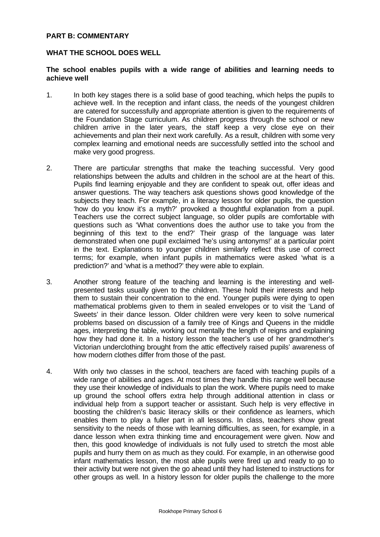#### **PART B: COMMENTARY**

#### **WHAT THE SCHOOL DOES WELL**

#### **The school enables pupils with a wide range of abilities and learning needs to achieve well**

- 1. In both key stages there is a solid base of good teaching, which helps the pupils to achieve well. In the reception and infant class, the needs of the youngest children are catered for successfully and appropriate attention is given to the requirements of the Foundation Stage curriculum. As children progress through the school or new children arrive in the later years, the staff keep a very close eye on their achievements and plan their next work carefully. As a result, children with some very complex learning and emotional needs are successfully settled into the school and make very good progress.
- 2. There are particular strengths that make the teaching successful. Very good relationships between the adults and children in the school are at the heart of this. Pupils find learning enjoyable and they are confident to speak out, offer ideas and answer questions. The way teachers ask questions shows good knowledge of the subjects they teach. For example, in a literacy lesson for older pupils, the question 'how do you know it's a myth?' provoked a thoughtful explanation from a pupil. Teachers use the correct subject language, so older pupils are comfortable with questions such as 'What conventions does the author use to take you from the beginning of this text to the end?' Their grasp of the language was later demonstrated when one pupil exclaimed 'he's using antonyms!' at a particular point in the text. Explanations to younger children similarly reflect this use of correct terms; for example, when infant pupils in mathematics were asked 'what is a prediction?' and 'what is a method?' they were able to explain.
- 3. Another strong feature of the teaching and learning is the interesting and wellpresented tasks usually given to the children. These hold their interests and help them to sustain their concentration to the end. Younger pupils were dying to open mathematical problems given to them in sealed envelopes or to visit the 'Land of Sweets' in their dance lesson. Older children were very keen to solve numerical problems based on discussion of a family tree of Kings and Queens in the middle ages, interpreting the table, working out mentally the length of reigns and explaining how they had done it. In a history lesson the teacher's use of her grandmother's Victorian underclothing brought from the attic effectively raised pupils' awareness of how modern clothes differ from those of the past.
- 4. With only two classes in the school, teachers are faced with teaching pupils of a wide range of abilities and ages. At most times they handle this range well because they use their knowledge of individuals to plan the work. Where pupils need to make up ground the school offers extra help through additional attention in class or individual help from a support teacher or assistant. Such help is very effective in boosting the children's basic literacy skills or their confidence as learners, which enables them to play a fuller part in all lessons. In class, teachers show great sensitivity to the needs of those with learning difficulties, as seen, for example, in a dance lesson when extra thinking time and encouragement were given. Now and then, this good knowledge of individuals is not fully used to stretch the most able pupils and hurry them on as much as they could. For example, in an otherwise good infant mathematics lesson, the most able pupils were fired up and ready to go to their activity but were not given the go ahead until they had listened to instructions for other groups as well. In a history lesson for older pupils the challenge to the more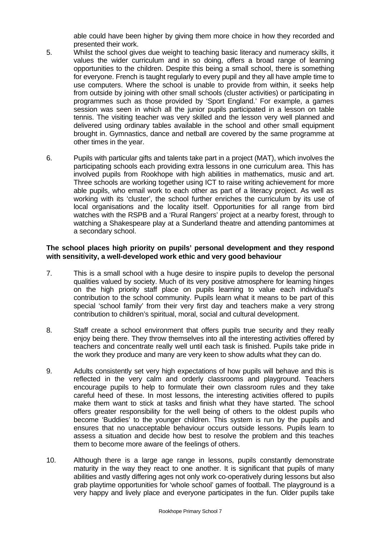able could have been higher by giving them more choice in how they recorded and presented their work.

- 5. Whilst the school gives due weight to teaching basic literacy and numeracy skills, it values the wider curriculum and in so doing, offers a broad range of learning opportunities to the children. Despite this being a small school, there is something for everyone. French is taught regularly to every pupil and they all have ample time to use computers. Where the school is unable to provide from within, it seeks help from outside by joining with other small schools (cluster activities) or participating in programmes such as those provided by 'Sport England.' For example, a games session was seen in which all the junior pupils participated in a lesson on table tennis. The visiting teacher was very skilled and the lesson very well planned and delivered using ordinary tables available in the school and other small equipment brought in. Gymnastics, dance and netball are covered by the same programme at other times in the year.
- 6. Pupils with particular gifts and talents take part in a project (MAT), which involves the participating schools each providing extra lessons in one curriculum area. This has involved pupils from Rookhope with high abilities in mathematics, music and art. Three schools are working together using ICT to raise writing achievement for more able pupils, who email work to each other as part of a literacy project. As well as working with its 'cluster', the school further enriches the curriculum by its use of local organisations and the locality itself. Opportunities for all range from bird watches with the RSPB and a 'Rural Rangers' project at a nearby forest, through to watching a Shakespeare play at a Sunderland theatre and attending pantomimes at a secondary school.

#### **The school places high priority on pupils' personal development and they respond with sensitivity, a well-developed work ethic and very good behaviour**

- 7. This is a small school with a huge desire to inspire pupils to develop the personal qualities valued by society. Much of its very positive atmosphere for learning hinges on the high priority staff place on pupils learning to value each individual's contribution to the school community. Pupils learn what it means to be part of this special 'school family' from their very first day and teachers make a very strong contribution to children's spiritual, moral, social and cultural development.
- 8. Staff create a school environment that offers pupils true security and they really enjoy being there. They throw themselves into all the interesting activities offered by teachers and concentrate really well until each task is finished. Pupils take pride in the work they produce and many are very keen to show adults what they can do.
- 9. Adults consistently set very high expectations of how pupils will behave and this is reflected in the very calm and orderly classrooms and playground. Teachers encourage pupils to help to formulate their own classroom rules and they take careful heed of these. In most lessons, the interesting activities offered to pupils make them want to stick at tasks and finish what they have started. The school offers greater responsibility for the well being of others to the oldest pupils who become 'Buddies' to the younger children. This system is run by the pupils and ensures that no unacceptable behaviour occurs outside lessons. Pupils learn to assess a situation and decide how best to resolve the problem and this teaches them to become more aware of the feelings of others.
- 10. Although there is a large age range in lessons, pupils constantly demonstrate maturity in the way they react to one another. It is significant that pupils of many abilities and vastly differing ages not only work co-operatively during lessons but also grab playtime opportunities for 'whole school' games of football. The playground is a very happy and lively place and everyone participates in the fun. Older pupils take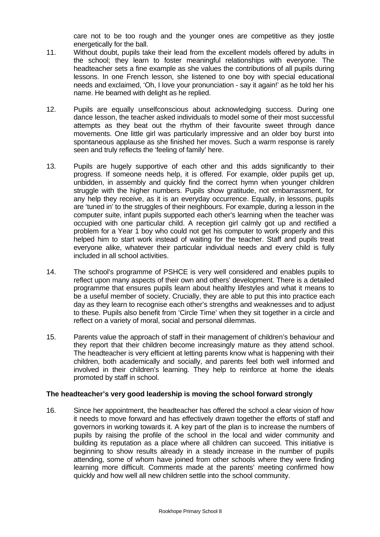care not to be too rough and the younger ones are competitive as they jostle energetically for the ball.

- 11. Without doubt, pupils take their lead from the excellent models offered by adults in the school; they learn to foster meaningful relationships with everyone. The headteacher sets a fine example as she values the contributions of all pupils during lessons. In one French lesson, she listened to one boy with special educational needs and exclaimed, 'Oh, I love your pronunciation - say it again!' as he told her his name. He beamed with delight as he replied.
- 12. Pupils are equally unselfconscious about acknowledging success. During one dance lesson, the teacher asked individuals to model some of their most successful attempts as they beat out the rhythm of their favourite sweet through dance movements. One little girl was particularly impressive and an older boy burst into spontaneous applause as she finished her moves. Such a warm response is rarely seen and truly reflects the 'feeling of family' here.
- 13. Pupils are hugely supportive of each other and this adds significantly to their progress. If someone needs help, it is offered. For example, older pupils get up, unbidden, in assembly and quickly find the correct hymn when younger children struggle with the higher numbers. Pupils show gratitude, not embarrassment, for any help they receive, as it is an everyday occurrence. Equally, in lessons, pupils are 'tuned in' to the struggles of their neighbours. For example, during a lesson in the computer suite, infant pupils supported each other's learning when the teacher was occupied with one particular child. A reception girl calmly got up and rectified a problem for a Year 1 boy who could not get his computer to work properly and this helped him to start work instead of waiting for the teacher. Staff and pupils treat everyone alike, whatever their particular individual needs and every child is fully included in all school activities.
- 14. The school's programme of PSHCE is very well considered and enables pupils to reflect upon many aspects of their own and others' development. There is a detailed programme that ensures pupils learn about healthy lifestyles and what it means to be a useful member of society. Crucially, they are able to put this into practice each day as they learn to recognise each other's strengths and weaknesses and to adjust to these. Pupils also benefit from 'Circle Time' when they sit together in a circle and reflect on a variety of moral, social and personal dilemmas.
- 15. Parents value the approach of staff in their management of children's behaviour and they report that their children become increasingly mature as they attend school. The headteacher is very efficient at letting parents know what is happening with their children, both academically and socially, and parents feel both well informed and involved in their children's learning. They help to reinforce at home the ideals promoted by staff in school.

#### **The headteacher's very good leadership is moving the school forward strongly**

16. Since her appointment, the headteacher has offered the school a clear vision of how it needs to move forward and has effectively drawn together the efforts of staff and governors in working towards it. A key part of the plan is to increase the numbers of pupils by raising the profile of the school in the local and wider community and building its reputation as a place where all children can succeed. This initiative is beginning to show results already in a steady increase in the number of pupils attending, some of whom have joined from other schools where they were finding learning more difficult. Comments made at the parents' meeting confirmed how quickly and how well all new children settle into the school community.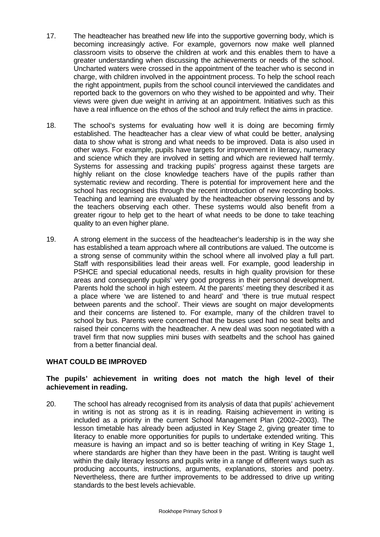- 17. The headteacher has breathed new life into the supportive governing body, which is becoming increasingly active. For example, governors now make well planned classroom visits to observe the children at work and this enables them to have a greater understanding when discussing the achievements or needs of the school. Uncharted waters were crossed in the appointment of the teacher who is second in charge, with children involved in the appointment process. To help the school reach the right appointment, pupils from the school council interviewed the candidates and reported back to the governors on who they wished to be appointed and why. Their views were given due weight in arriving at an appointment. Initiatives such as this have a real influence on the ethos of the school and truly reflect the aims in practice.
- 18. The school's systems for evaluating how well it is doing are becoming firmly established. The headteacher has a clear view of what could be better, analysing data to show what is strong and what needs to be improved. Data is also used in other ways. For example, pupils have targets for improvement in literacy, numeracy and science which they are involved in setting and which are reviewed half termly. Systems for assessing and tracking pupils' progress against these targets are highly reliant on the close knowledge teachers have of the pupils rather than systematic review and recording. There is potential for improvement here and the school has recognised this through the recent introduction of new recording books. Teaching and learning are evaluated by the headteacher observing lessons and by the teachers observing each other. These systems would also benefit from a greater rigour to help get to the heart of what needs to be done to take teaching quality to an even higher plane.
- 19. A strong element in the success of the headteacher's leadership is in the way she has established a team approach where all contributions are valued. The outcome is a strong sense of community within the school where all involved play a full part. Staff with responsibilities lead their areas well. For example, good leadership in PSHCE and special educational needs, results in high quality provision for these areas and consequently pupils' very good progress in their personal development. Parents hold the school in high esteem. At the parents' meeting they described it as a place where 'we are listened to and heard' and 'there is true mutual respect between parents and the school'. Their views are sought on major developments and their concerns are listened to. For example, many of the children travel to school by bus. Parents were concerned that the buses used had no seat belts and raised their concerns with the headteacher. A new deal was soon negotiated with a travel firm that now supplies mini buses with seatbelts and the school has gained from a better financial deal.

#### **WHAT COULD BE IMPROVED**

#### **The pupils' achievement in writing does not match the high level of their achievement in reading.**

20. The school has already recognised from its analysis of data that pupils' achievement in writing is not as strong as it is in reading. Raising achievement in writing is included as a priority in the current School Management Plan (2002–2003). The lesson timetable has already been adjusted in Key Stage 2, giving greater time to literacy to enable more opportunities for pupils to undertake extended writing. This measure is having an impact and so is better teaching of writing in Key Stage 1, where standards are higher than they have been in the past. Writing is taught well within the daily literacy lessons and pupils write in a range of different ways such as producing accounts, instructions, arguments, explanations, stories and poetry. Nevertheless, there are further improvements to be addressed to drive up writing standards to the best levels achievable.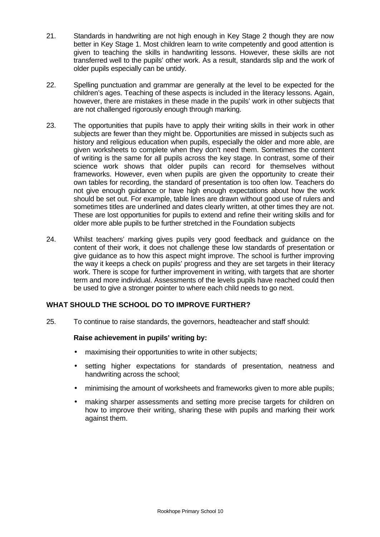- 21. Standards in handwriting are not high enough in Key Stage 2 though they are now better in Key Stage 1. Most children learn to write competently and good attention is given to teaching the skills in handwriting lessons. However, these skills are not transferred well to the pupils' other work. As a result, standards slip and the work of older pupils especially can be untidy.
- 22. Spelling punctuation and grammar are generally at the level to be expected for the children's ages. Teaching of these aspects is included in the literacy lessons. Again, however, there are mistakes in these made in the pupils' work in other subjects that are not challenged rigorously enough through marking.
- 23. The opportunities that pupils have to apply their writing skills in their work in other subjects are fewer than they might be. Opportunities are missed in subjects such as history and religious education when pupils, especially the older and more able, are given worksheets to complete when they don't need them. Sometimes the content of writing is the same for all pupils across the key stage. In contrast, some of their science work shows that older pupils can record for themselves without frameworks. However, even when pupils are given the opportunity to create their own tables for recording, the standard of presentation is too often low. Teachers do not give enough guidance or have high enough expectations about how the work should be set out. For example, table lines are drawn without good use of rulers and sometimes titles are underlined and dates clearly written, at other times they are not. These are lost opportunities for pupils to extend and refine their writing skills and for older more able pupils to be further stretched in the Foundation subjects
- 24. Whilst teachers' marking gives pupils very good feedback and guidance on the content of their work, it does not challenge these low standards of presentation or give guidance as to how this aspect might improve. The school is further improving the way it keeps a check on pupils' progress and they are set targets in their literacy work. There is scope for further improvement in writing, with targets that are shorter term and more individual. Assessments of the levels pupils have reached could then be used to give a stronger pointer to where each child needs to go next.

### **WHAT SHOULD THE SCHOOL DO TO IMPROVE FURTHER?**

25. To continue to raise standards, the governors, headteacher and staff should:

#### **Raise achievement in pupils' writing by:**

- maximising their opportunities to write in other subjects;
- setting higher expectations for standards of presentation, neatness and handwriting across the school;
- minimising the amount of worksheets and frameworks given to more able pupils;
- making sharper assessments and setting more precise targets for children on how to improve their writing, sharing these with pupils and marking their work against them.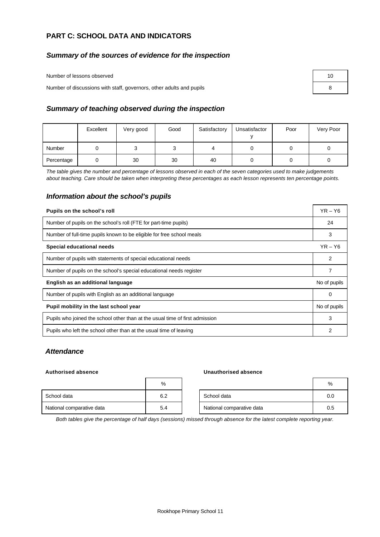#### **PART C: SCHOOL DATA AND INDICATORS**

#### *Summary of the sources of evidence for the inspection*

Number of lessons observed

Number of discussions with staff, governors, other adults and pupils 8

| 10 |  |
|----|--|
| 8  |  |

#### *Summary of teaching observed during the inspection*

|            | Excellent | Very good | Good | Satisfactory | Unsatisfactor | Poor | Very Poor |
|------------|-----------|-----------|------|--------------|---------------|------|-----------|
| Number     |           |           | ບ    |              |               |      |           |
| Percentage |           | 30        | 30   | 40           |               |      |           |

*The table gives the number and percentage of lessons observed in each of the seven categories used to make judgements about teaching. Care should be taken when interpreting these percentages as each lesson represents ten percentage points.*

#### *Information about the school's pupils*

| Pupils on the school's roll                                                  | $YR - Y6$    |  |  |
|------------------------------------------------------------------------------|--------------|--|--|
| Number of pupils on the school's roll (FTE for part-time pupils)             | 24           |  |  |
| Number of full-time pupils known to be eligible for free school meals        |              |  |  |
| <b>Special educational needs</b>                                             | $YR - Y6$    |  |  |
| Number of pupils with statements of special educational needs                | 2            |  |  |
| Number of pupils on the school's special educational needs register          |              |  |  |
| English as an additional language                                            | No of pupils |  |  |
| Number of pupils with English as an additional language                      | 0            |  |  |
| Pupil mobility in the last school year                                       | No of pupils |  |  |
| Pupils who joined the school other than at the usual time of first admission | 3            |  |  |
| Pupils who left the school other than at the usual time of leaving           | 2            |  |  |

#### *Attendance*

#### **Authorised absence Unauthorised absence**

|                           | %   |                           | %   |
|---------------------------|-----|---------------------------|-----|
| School data               | 6.2 | School data               | 0.0 |
| National comparative data | 5.4 | National comparative data | 0.5 |

*Both tables give the percentage of half days (sessions) missed through absence for the latest complete reporting year.*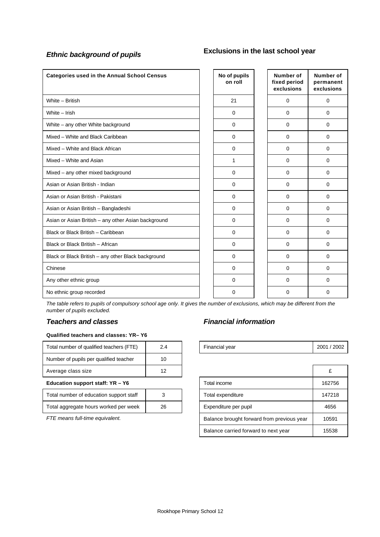# *Ethnic background of pupils* **Exclusions in the last school year**

| <b>Categories used in the Annual School Census</b>  | No of pupils<br>on roll | Number of<br>fixed period<br>exclusions | Number of<br>permanent<br>exclusions |
|-----------------------------------------------------|-------------------------|-----------------------------------------|--------------------------------------|
| White - British                                     | 21                      | $\mathbf 0$                             | $\mathbf 0$                          |
| White - Irish                                       | $\mathbf 0$             | $\Omega$                                | $\Omega$                             |
| White - any other White background                  | $\mathbf 0$             | 0                                       | $\Omega$                             |
| Mixed - White and Black Caribbean                   | $\mathbf 0$             | 0                                       | $\mathbf 0$                          |
| Mixed - White and Black African                     | $\mathbf 0$             | 0                                       | $\Omega$                             |
| Mixed - White and Asian                             | 1                       | 0                                       | $\mathbf 0$                          |
| Mixed - any other mixed background                  | $\Omega$                | $\Omega$                                | $\Omega$                             |
| Asian or Asian British - Indian                     | $\mathbf 0$             | $\Omega$                                | $\Omega$                             |
| Asian or Asian British - Pakistani                  | $\mathbf 0$             | $\Omega$                                | $\mathbf 0$                          |
| Asian or Asian British - Bangladeshi                | $\mathbf 0$             | $\Omega$                                | $\mathbf 0$                          |
| Asian or Asian British - any other Asian background | $\mathbf 0$             | $\Omega$                                | $\Omega$                             |
| Black or Black British - Caribbean                  | 0                       | 0                                       | $\Omega$                             |
| Black or Black British - African                    | $\mathbf 0$             | 0                                       | $\Omega$                             |
| Black or Black British - any other Black background | $\mathbf 0$             | 0                                       | $\mathbf 0$                          |
| Chinese                                             | $\mathbf 0$             | $\Omega$                                | $\mathbf 0$                          |
| Any other ethnic group                              | $\Omega$                | $\Omega$                                | $\Omega$                             |
| No ethnic group recorded                            | 0                       | 0                                       | 0                                    |

*The table refers to pupils of compulsory school age only. It gives the number of exclusions, which may be different from the number of pupils excluded.*

#### *Teachers and classes Financial information*

#### **Qualified teachers and classes: YR– Y6**

| Total number of qualified teachers (FTE) | 2.4 | Financial year | 2001/ |
|------------------------------------------|-----|----------------|-------|
| Number of pupils per qualified teacher   | 10  |                |       |
| Average class size                       | 12  |                | £     |
|                                          |     |                |       |

| Total number of education support staff |    |
|-----------------------------------------|----|
| Total aggregate hours worked per week   | 26 |

| <br>-----<br>Total number<br>1 E<br>`qualified teachers<br>οt |  | vear<br>Financial | 2002<br>2001 |
|---------------------------------------------------------------|--|-------------------|--------------|
|                                                               |  |                   |              |

| Average class size                      | 12 |                                            |                                      |        |
|-----------------------------------------|----|--------------------------------------------|--------------------------------------|--------|
| Education support staff: YR - Y6        |    |                                            | Total income                         | 162756 |
| Total number of education support staff |    |                                            | Total expenditure                    | 147218 |
| Total aggregate hours worked per week   | 26 |                                            | Expenditure per pupil                | 4656   |
| FTE means full-time equivalent.         |    | Balance brought forward from previous year | 10591                                |        |
|                                         |    |                                            | Balance carried forward to next year | 15538  |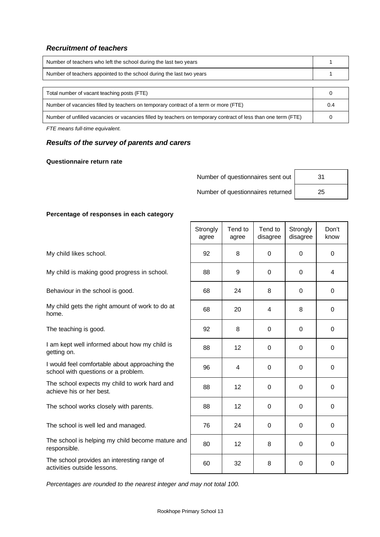#### *Recruitment of teachers*

| Number of teachers who left the school during the last two years                                               |     |
|----------------------------------------------------------------------------------------------------------------|-----|
| Number of teachers appointed to the school during the last two years                                           |     |
|                                                                                                                |     |
| Total number of vacant teaching posts (FTE)                                                                    |     |
| Number of vacancies filled by teachers on temporary contract of a term or more (FTE)                           | 0.4 |
| Number of unfilled vacancies or vacancies filled by teachers on temporary contract of less than one term (FTE) |     |
|                                                                                                                |     |

*FTE means full-time equivalent.*

#### *Results of the survey of parents and carers*

#### **Questionnaire return rate**

Number of questionnaires sent out | 31

Number of questionnaires returned 25

#### **Percentage of responses in each category**

*Percentages are rounded to the nearest integer and may not total 100.*

|                                                                                       | Strongly<br>agree | Tend to<br>agree | Tend to<br>disagree | Strongly<br>disagree | Don't<br>know |
|---------------------------------------------------------------------------------------|-------------------|------------------|---------------------|----------------------|---------------|
| My child likes school.                                                                | 92                | 8                | 0                   | $\Omega$             | $\mathbf 0$   |
| My child is making good progress in school.                                           | 88                | 9                | 0                   | 0                    | 4             |
| Behaviour in the school is good.                                                      | 68                | 24               | 8                   | 0                    | $\mathbf 0$   |
| My child gets the right amount of work to do at<br>home.                              | 68                | 20               | 4                   | 8                    | $\mathbf 0$   |
| The teaching is good.                                                                 | 92                | 8                | $\mathbf 0$         | 0                    | $\mathbf 0$   |
| I am kept well informed about how my child is<br>getting on.                          | 88                | 12 <sub>2</sub>  | $\Omega$            | $\Omega$             | 0             |
| I would feel comfortable about approaching the<br>school with questions or a problem. | 96                | 4                | $\mathbf 0$         | $\mathbf 0$          | $\mathbf 0$   |
| The school expects my child to work hard and<br>achieve his or her best.              | 88                | 12 <sup>2</sup>  | $\Omega$            | $\Omega$             | $\Omega$      |
| The school works closely with parents.                                                | 88                | 12 <sub>2</sub>  | $\mathbf 0$         | 0                    | $\mathbf 0$   |
| The school is well led and managed.                                                   | 76                | 24               | $\Omega$            | $\Omega$             | $\Omega$      |
| The school is helping my child become mature and<br>responsible.                      | 80                | 12 <sup>2</sup>  | 8                   | $\Omega$             | $\Omega$      |
| The school provides an interesting range of<br>activities outside lessons.            | 60                | 32               | 8                   | 0                    | 0             |